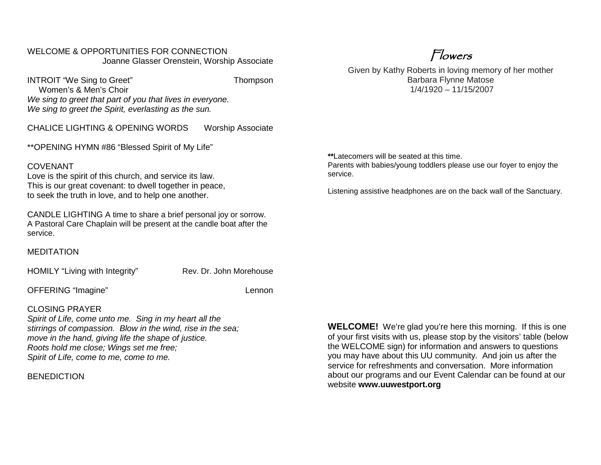#### WELCOME & OPPORTUNITIES FOR CONNECTION Joanne Glasser Orenstein, Worship Associate

INTROIT "We Sing to Greet" Thompson Women's & Men's Choir *We sing to greet that part of you that lives in everyone. We sing to greet the Spirit, everlasting as the sun.*

CHALICE LIGHTING & OPENING WORDS Worship Associate

\*\*OPENING HYMN #86 "Blessed Spirit of My Life"

#### COVENANT

Love is the spirit of this church, and service its law. This is our great covenant: to dwell together in peace, to seek the truth in love, and to help one another.

CANDLE LIGHTING A time to share a brief personal joy or sorrow. A Pastoral Care Chaplain will be present at the candle boat after the service.

MEDITATION

HOMILY "Living with Integrity" Rev. Dr. John Morehouse

OFFERING "Imagine" Lennon

#### CLOSING PRAYER

*Spirit of Life, come unto me. Sing in my heart all the stirrings of compassion. Blow in the wind, rise in the sea; move in the hand, giving life the shape of justice. Roots hold me close; Wings set me free; Spirit of Life, come to me, come to me.*

**BENEDICTION** 

Given by Kathy Roberts in loving memory of her mother Barbara Flynne Matose 1/4/1920 – 11/15/2007

**\*\***Latecomers will be seated at this time.

Parents with babies/young toddlers please use our foyer to enjoy the service.

Listening assistive headphones are on the back wall of the Sanctuary.

**WELCOME!** We're glad you're here this morning. If this is one of your first visits with us, please stop by the visitors' table (below the WELCOME sign) for information and answers to questions you may have about this UU community. And join us after the service for refreshments and conversation. More information about our programs and our Event Calendar can be found at our website **[www.uuwestport.org](http://www.uuwestport.org/)**

## Flowers